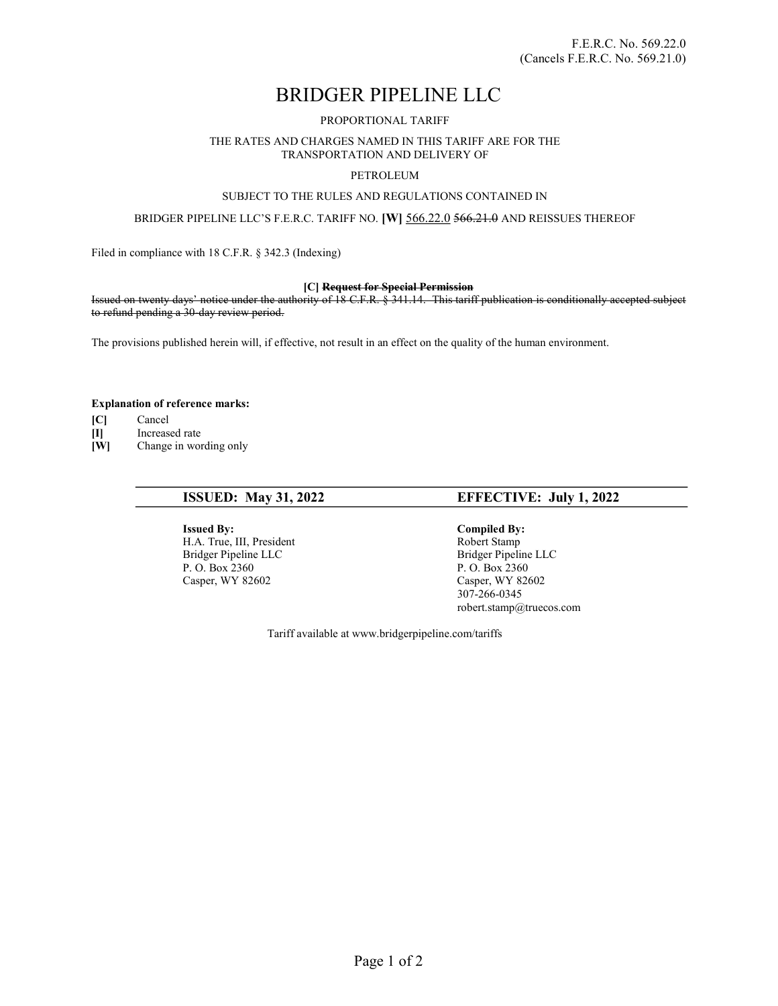# BRIDGER PIPELINE LLC

## PROPORTIONAL TARIFF

#### THE RATES AND CHARGES NAMED IN THIS TARIFF ARE FOR THE TRANSPORTATION AND DELIVERY OF

# PETROLEUM

# SUBJECT TO THE RULES AND REGULATIONS CONTAINED IN

### BRIDGER PIPELINE LLC'S F.E.R.C. TARIFF NO. [W] 566.22.0 566.21.0 AND REISSUES THEREOF

Filed in compliance with 18 C.F.R. § 342.3 (Indexing)

#### [C] Request for Special Permission

Issued on twenty days' notice under the authority of 18 C.F.R. § 341.14. This tariff publication is conditionally accepted subject to refund pending a 30-day review period.

The provisions published herein will, if effective, not result in an effect on the quality of the human environment.

#### Explanation of reference marks:

- [C] Cancel
- [I] Increased rate
- [W] Change in wording only

**Issued By:** Compiled By: Compiled By: Compiled By: Compiled By: Compiled By:  $\theta$  Robert Stamp H.A. True, III, President Bridger Pipeline LLC<br>
P. O. Box 2360<br>
P. O. Box 2360<br>
P. O. Box 2360 P. O. Box 2360<br>
Casper, WY 82602<br>
Casper, WY 82602<br>
Casper, WY 82602

# ISSUED: May 31, 2022 EFFECTIVE: July 1, 2022

Casper, WY 82602 307-266-0345 robert.stamp@truecos.com

Tariff available at www.bridgerpipeline.com/tariffs